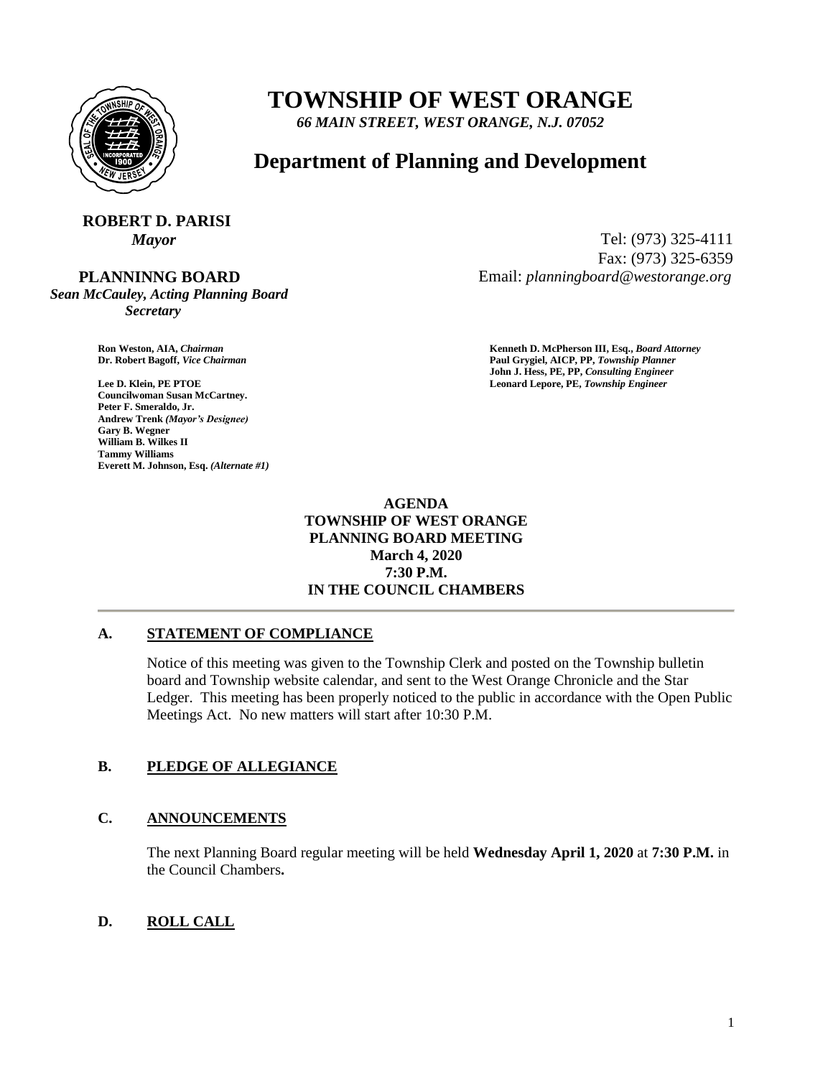

## **TOWNSHIP OF WEST ORANGE**

*66 MAIN STREET, WEST ORANGE, N.J. 07052*

### **Department of Planning and Development**

# **ROBERT D. PARISI**

 **PLANNINNG BOARD**

*Sean McCauley, Acting Planning Board Secretary*

**Councilwoman Susan McCartney. Peter F. Smeraldo, Jr. Andrew Trenk** *(Mayor's Designee)* **Gary B. Wegner William B. Wilkes II Tammy Williams Everett M. Johnson, Esq.** *(Alternate #1)*

*Mayor* Tel: (973) 325-4111 Fax: (973) 325-6359 Email: *planningboard@westorange.org*

**Ron Weston, AIA,** *Chairman* **Kenneth D. McPherson III, Esq.,** *Board Attorney* **Dr. Robert Bagoff,** *Vice Chairman* **Paul Grygiel, AICP, PP,** *Township Planner* **John J. Hess, PE, PP,** *Consulting Engineer* **Lee D. Klein, PE PTOE Leonard Lepore, PE,** *Township Engineer*

> **AGENDA TOWNSHIP OF WEST ORANGE PLANNING BOARD MEETING March 4, 2020 7:30 P.M. IN THE COUNCIL CHAMBERS**

#### **A. STATEMENT OF COMPLIANCE**

Notice of this meeting was given to the Township Clerk and posted on the Township bulletin board and Township website calendar, and sent to the West Orange Chronicle and the Star Ledger. This meeting has been properly noticed to the public in accordance with the Open Public Meetings Act. No new matters will start after 10:30 P.M.

#### **B. PLEDGE OF ALLEGIANCE**

#### **C. ANNOUNCEMENTS**

The next Planning Board regular meeting will be held **Wednesday April 1, 2020** at **7:30 P.M.** in the Council Chambers**.**

### **D. ROLL CALL**